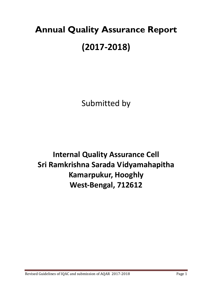# **Annual Quality Assurance Report (2017-2018)**

Submitted by

**Internal Quality Assurance Cell Sri Ramkrishna Sarada Vidyamahapitha Kamarpukur, Hooghly West-Bengal, 712612**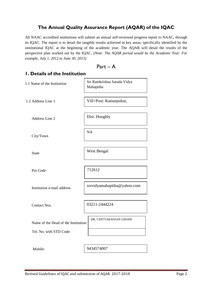## **The Annual Quality Assurance Report (AQAR) of the IQAC**

All NAAC accredited institutions will submit an annual self-reviewed progress report to NAAC, through its IQAC. The report is to detail the tangible results achieved in key areas, specifically identified by the institutional IQAC at the beginning of the academic year. The AQAR will detail the results of the perspective plan worked out by the IQAC. *(Note: The AQAR period would be the Academic Year. For example, July 1, 2012 to June 30, 2013)*

| Par<br>t |  |  |  |
|----------|--|--|--|
|----------|--|--|--|

| I. Details of the Institution        |                                          |
|--------------------------------------|------------------------------------------|
| 1.1 Name of the Institution          | Sri Ramkrishna Sarada Vidya<br>Mahapitha |
| 1.2 Address Line 1                   | Vill+Post: Kamarpukur,                   |
| Address Line 2                       | Dist. Hooghly                            |
| City/Town                            | <b>NA</b>                                |
| <b>State</b>                         | West Bengal                              |
| Pin Code                             | 712612                                   |
| Institution e-mail address           | srsvidyamahapitha@yahoo.com              |
| <b>Contact Nos.</b>                  | 03211-2444224                            |
| Name of the Head of the Institution: | DR. CHITTARANJAN GHOSH                   |
| Tel. No. with STD Code:              |                                          |
| Mobile:                              | 9434574007                               |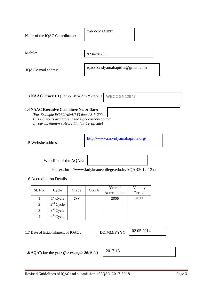| Name of the IQAC Co-ordinator:                  | <b>TANMOY PANDIT</b>            |  |
|-------------------------------------------------|---------------------------------|--|
| Mobile:                                         | 9734281763                      |  |
| IQAC e-mail address:                            | iqacsrsvidyamahapitha@gmail.com |  |
| 1.3 <b>NAAC Track ID</b> (For ex. MHCOGN 18879) | <b>WBCO</b><br>GN12947          |  |

#### 1.4 **NAAC Executive Committee No. & Date:**

*(For Example EC/32/A&A/143 dated 3-5-2004. This EC no. is available in the right corner- bottom of your institution's Accreditation Certificate)*

1.5 Website address:

<http://www.srsvidyamahapitha.org/>

Web-link of the AQAR:

For ex. http://www.ladykeanecollege.edu.in/AQAR2012-13.doc

1.6 Accreditation Details

|         |             |       |             | Year of       | Validity |
|---------|-------------|-------|-------------|---------------|----------|
| Sl. No. | Cycle       | Grade | <b>CGPA</b> | Accreditation | Period   |
|         | $1st$ Cycle | $C++$ |             | 2006          | 2011     |
|         | $2nd$ Cycle |       |             |               |          |
| 3       | $3rd$ Cycle |       |             |               |          |
|         | $4th$ Cycle |       |             |               |          |

1.7 Date of Establishment of IQAC : DD/MM/YYYY

02.05.2014

**1.8 AQAR for the year** *(for example 2010-11)*

2017-18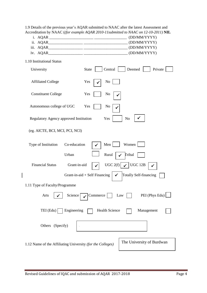1.9 Details of the previous year's AQAR submitted to NAAC after the latest Assessment and Accreditation by NAAC (*(for example AQAR 2010-11submitted to NAAC on 12-10-2011)* **NIL**

- i. AQAR \_\_\_\_\_\_\_\_\_\_\_\_\_\_\_\_\_\_\_\_\_\_\_ \_\_\_\_\_\_\_\_\_\_\_\_\_\_\_\_\_ (DD/MM/YYYY)
- ii. AQAR\_\_\_\_\_\_\_\_\_\_\_\_\_\_\_\_\_\_ \_\_\_\_\_\_\_\_\_\_\_\_\_\_\_\_\_\_\_\_\_\_\_ (DD/MM/YYYY)
- iii. AQAR\_\_\_\_\_\_\_\_\_\_\_\_\_\_\_\_\_\_ \_\_\_\_\_\_\_\_\_\_\_\_\_\_\_\_\_\_\_\_\_\_\_ (DD/MM/YYYY)
- iv. AQAR\_\_\_\_\_\_\_\_\_\_\_\_\_\_\_\_\_\_ \_\_\_\_\_\_\_\_\_\_\_\_\_\_\_\_\_\_\_\_\_\_\_ (DD/MM/YYYY)

| 1.10 Institutional Status                                  |                                                         |
|------------------------------------------------------------|---------------------------------------------------------|
| University                                                 | Deemed<br>Central<br>Private<br><b>State</b>            |
| <b>Affiliated College</b>                                  | Yes<br>N <sub>o</sub>                                   |
| <b>Constituent College</b>                                 | Yes<br>No                                               |
| Autonomous college of UGC                                  | Yes<br>No                                               |
| Regulatory Agency approved Institution                     | Yes<br>No                                               |
| (eg. AICTE, BCI, MCI, PCI, NCI)                            |                                                         |
| Type of Institution<br>Co-education                        | Women<br>Men                                            |
| Urban                                                      | Rural<br>Tribal                                         |
| <b>Financial Status</b><br>Grant-in-aid                    | UGC 2(f)<br><b>UGC 12B</b>                              |
|                                                            | Grant-in-aid + Self Financing<br>Totally Self-financing |
| 1.11 Type of Faculty/Programme                             |                                                         |
| Arts<br>Science                                            | PEI (Phys Edu)<br>Commerce<br>Law                       |
| TEI (Edu)<br>Engineering                                   | <b>Health Science</b><br>Management                     |
| Others (Specify)                                           |                                                         |
| 1.12 Name of the Affiliating University (for the Colleges) | The University of Burdwan                               |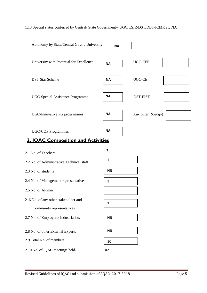## 1.13 Special status conferred by Central/ State Government-- UGC/CSIR/DST/DBT/ICMR etc **NA**

| Autonomy by State/Central Govt. / University |                | <b>NA</b> |                     |  |
|----------------------------------------------|----------------|-----------|---------------------|--|
| University with Potential for Excellence     | <b>NA</b>      |           | <b>UGC-CPE</b>      |  |
| <b>DST Star Scheme</b>                       | <b>NA</b>      |           | <b>UGC-CE</b>       |  |
| UGC-Special Assistance Programme             | <b>NA</b>      |           | <b>DST-FIST</b>     |  |
| UGC-Innovative PG programmes                 | <b>NA</b>      |           | Any other (Specify) |  |
| <b>UGC-COP Programmes</b>                    | <b>NA</b>      |           |                     |  |
| <b>2. IQAC Composition and Activities</b>    |                |           |                     |  |
| 2.1 No. of Teachers                          | $\overline{7}$ |           |                     |  |
| 2.2 No. of Administrative/Technical staff    | 1              |           |                     |  |
| 2.3 No. of students                          | <b>NIL</b>     |           |                     |  |
| 2.4 No. of Management representatives        | $\mathbf{1}$   |           |                     |  |
| 2.5 No. of Alumni                            |                |           |                     |  |
| 2. 6 No. of any other stakeholder and        | 1              |           |                     |  |
| Community representatives                    |                |           |                     |  |
| 2.7 No. of Employers/ Industrialists         | <b>NIL</b>     |           |                     |  |
| 2.8 No. of other External Experts            | <b>NIL</b>     |           |                     |  |
| 2.9 Total No. of members                     | 10             |           |                     |  |
| 2.10 No. of IQAC meetings held-              | 02             |           |                     |  |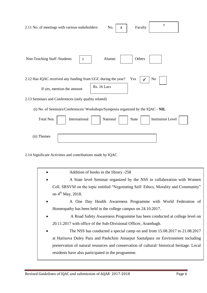| $\overline{7}$<br>2.11 No. of meetings with various stakeholders:<br>No.<br>Faculty<br>8 |
|------------------------------------------------------------------------------------------|
| Alumni<br>Others<br>Non-Teaching Staff /Students<br>1                                    |
| 2.12 Has IQAC received any funding from UGC during the year?<br>Yes<br>No                |
| Rs. 16 Lacs<br>If yes, mention the amount                                                |
| 2.13 Seminars and Conferences (only quality related)                                     |
| (i) No. of Seminars/Conferences/ Workshops/Symposia organized by the IQAC - NIL          |
| Total Nos.<br>International<br>National<br><b>Institution Level</b><br><b>State</b>      |
| (ii) Themes                                                                              |
| 2.14 Significant Activities and contributions made by IQAC                               |
| Addition of books in the library -258                                                    |
| A State level Seminar organized by the NSS in collaboration with Women                   |
| Cell, SRSVM on the topic entitled "Negotiating Self: Ethics, Morality and Community"     |

- on  $4<sup>th</sup>$  May, 2018.
- A One Day Health Awareness Programme with World Federation of Homeopathy has been held in the college campus on 24.10.2017.
- A Road Safety Awareness Programme has been conducted at college level on 20.11.2017 with office of the Sub-Divisional Officer, Arambagh.
- The NSS has conducted a special camp on and from 15.08.2017 to 21.08.2017 at Harisova Duley Para and Pashchim Amarpur Santalpara on Environment including preservation of natural resources and conservation of cultural/ historical heritage. Local residents have also participated in the programme.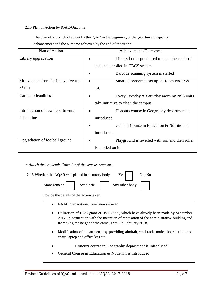#### 2.15 Plan of Action by IQAC/Outcome

 The plan of action chalked out by the IQAC in the beginning of the year towards quality enhancement and the outcome achieved by the end of the year \*

| Plan of Action                       |                   | Achievements/Outcomes                            |
|--------------------------------------|-------------------|--------------------------------------------------|
| Library upgradation                  |                   | Library books purchased to meet the needs of     |
|                                      |                   | students enrolled in CBCS system                 |
|                                      |                   | Barcode scanning system is started               |
| Motivate teachers for innovative use |                   | Smart classroom is set up in Room No.13 &        |
| of ICT                               | 14.               |                                                  |
| Campus cleanliness                   |                   | Every Tuesday & Saturday morning NSS units       |
|                                      |                   | take initiative to clean the campus.             |
| Introduction of new departments      |                   | Honours course in Geography department is        |
| /discipline                          | introduced.       |                                                  |
|                                      |                   | General Course in Education & Nutrition is       |
|                                      | introduced.       |                                                  |
| Upgradation of football ground       |                   | Playground is levelled with soil and then roller |
|                                      | is applied on it. |                                                  |

*\* Attach the Academic Calendar of the year as Annexure.*

| 2.15 Whether the AQAR was placed in statutory body | Yes <sub>1</sub> | No: No         |  |
|----------------------------------------------------|------------------|----------------|--|
| Management                                         | Syndicate        | Any other body |  |

Provide the details of the action taken

- NAAC preparations have been initiated
- Utilization of UGC grant of Rs 160000, which have already been made by September 2017, in connection with the inception of renovation of the administrative building and increasing the height of the campus wall in February 2018.
- Modification of departments by providing almirah, wall rack, notice board, table and chair, laptop and office kits etc.
	- Honours course in Geography department is introduced.
- General Course in Education & Nutrition is introduced.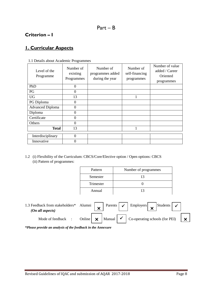# **Criterion – I**

# **1. Curricular Aspects**

| Level of the<br>Programme | Number of<br>existing<br>Programmes | Number of<br>programmes added<br>during the year | Number of<br>self-financing<br>programmes | Number of value<br>added / Career<br>Oriented<br>programmes |
|---------------------------|-------------------------------------|--------------------------------------------------|-------------------------------------------|-------------------------------------------------------------|
| PhD                       | $\overline{0}$                      |                                                  |                                           |                                                             |
| PG                        | $\theta$                            |                                                  |                                           |                                                             |
| <b>UG</b>                 | 13                                  |                                                  |                                           |                                                             |
| PG Diploma                | 0                                   |                                                  |                                           |                                                             |
| <b>Advanced Diploma</b>   | 0                                   |                                                  |                                           |                                                             |
| Diploma                   | $\theta$                            |                                                  |                                           |                                                             |
| Certificate               | $\boldsymbol{0}$                    |                                                  |                                           |                                                             |
| Others                    | 0                                   |                                                  |                                           |                                                             |
| <b>Total</b>              | 13                                  |                                                  |                                           |                                                             |
| Interdisciplinary         | $\theta$                            |                                                  |                                           |                                                             |
| Innovative                | 0                                   |                                                  |                                           |                                                             |

#### 1.1 Details about Academic Programmes

1.2 (i) Flexibility of the Curriculum: CBCS/Core/Elective option / Open options: CBCS (ii) Pattern of programmes:

| Pattern   | Number of programmes |
|-----------|----------------------|
| Semester  | 13                   |
| Trimester |                      |
| Annual    | 13                   |

| 1.3 Feedback from stakeholders* Alumni<br>(On all aspects) |                                 |  | Parents $\vert \checkmark \vert$ Employers $\vert \checkmark$ Students $\vert$ |              |
|------------------------------------------------------------|---------------------------------|--|--------------------------------------------------------------------------------|--------------|
| Mode of feedback :                                         | Online $\vert \mathbf{x} \vert$ |  | $\vert$ Manual $\vert \checkmark \vert$ Co-operating schools (for PEI)         | $\mathbf{x}$ |

*\*Please provide an analysis of the feedback in the Annexure*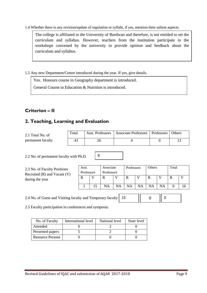1.4 Whether there is any revision/update of regulation or syllabi, if yes, mention their salient aspects.

The college is affiliated to the University of Burdwan and therefore, is not entitled to set the curriculum and syllabus. However, teachers from the institution participate in the workshops convened by the university to provide opinion and feedback about the curriculum and syllabus.

1.5 Any new Department/Centre introduced during the year. If yes, give details.

Yes. Honours course in Geography department is introduced.

General Course in Education & Nutrition is introduced.

# **Criterion – II**

# **2. Teaching, Learning and Evaluation**

| 2.1 Total No. of  | Total |    | Asst. Professors   Associate Professors   Professors | <b>Others</b> |
|-------------------|-------|----|------------------------------------------------------|---------------|
| permanent faculty |       | ۷b |                                                      |               |

8

2.2 No. of permanent faculty with Ph.D.

2.3 No. of Faculty Positio Recruited  $(R)$  and Vacant during the year

| ms<br>$\mathcal{N}$ | Asst.<br>Professors |    | Associate<br>Professors |           | Professors |    | Others |    | Total |  |
|---------------------|---------------------|----|-------------------------|-----------|------------|----|--------|----|-------|--|
|                     | R                   |    | R                       |           | R          |    | R      |    | R     |  |
|                     |                     | 15 | NA                      | <b>NA</b> | NA         | NA | NA     | NA |       |  |

2.4 No. of Guest and Visiting faculty and Temporary faculty 23  $0$   $\vert\vert$  0

2.5 Faculty participation in conferences and symposia:

| No. of Faculty          | International level | National level | State level |
|-------------------------|---------------------|----------------|-------------|
| Attended                |                     |                |             |
| Presented papers        |                     |                |             |
| <b>Resource Persons</b> |                     |                |             |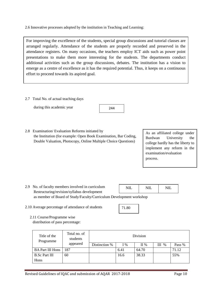2.6 Innovative processes adopted by the institution in Teaching and Learning:

For improving the excellence of the students, special group discussions and tutorial classes are arranged regularly. Attendance of the students are properly recorded and preserved in the attendance registers. On many occasions, the teachers employ ICT aids such as power point presentations to make them more interesting for the students. The departments conduct additional activities such as the group discussions, debates. The institution has a vision to emerge as a centre of excellence as it has the required potential. Thus, it keeps on a continuous effort to proceed towards its aspired goal.

2.7 Total No. of actual teaching days

during this academic year

2.8 Examination/ Evaluation Reforms initiated by the Institution (for example: Open Book Examination, Bar Coding, Double Valuation, Photocopy, Online Multiple Choice Questions)

As an affiliated college under Burdwan University the college hardly has the liberty to implement any reform in the examination/evaluation process.

- 2.9 No. of faculty members involved in curriculum Restructuring/revision/syllabus development as member of Board of Study/Faculty/Curriculum Development workshop NIL.  $NII.$   $NII.$
- 2.10 Average percentage of attendance of students

71.80

 2.11 Course/Programme wise distribution of pass percentage:

| Title of the<br>Programme | Total no. of<br>students | Division      |       |         |           |        |  |
|---------------------------|--------------------------|---------------|-------|---------|-----------|--------|--|
|                           | appeared                 | Distinction % | $I\%$ | $\Pi$ % | Ш<br>$\%$ | Pass % |  |
| <b>BA Part III Hons</b>   | 187                      |               | 6.41  | 64.70   |           | 71.12  |  |
| <b>B.Sc Part III</b>      | 60                       |               | 16.6  | 38.33   |           | 55%    |  |
| Hons                      |                          |               |       |         |           |        |  |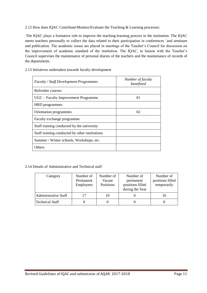2.12 How does IQAC Contribute/Monitor/Evaluate the Teaching & Learning processes:

The IQAC plays a formative role to improve the teaching-learning process in the institution. The IQAC meets teachers personally to collect the data related to their participation in conferences `and seminars and publication. The academic issues are placed in meetings of the Teacher's Council for discussion on the improvement of academic standard of the institution. The IQAC, in liaison with the Teacher's Council supervises the maintenance of personal diaries of the teachers and the maintenance of records of the departments.

| <b>Faculty / Staff Development Programmes</b>  | Number of faculty<br>benefitted |
|------------------------------------------------|---------------------------------|
| Refresher courses                              |                                 |
| UGC – Faculty Improvement Programme            | 01                              |
| HRD programmes                                 |                                 |
| Orientation programmes                         | 02                              |
| Faculty exchange programme                     |                                 |
| Staff training conducted by the university     |                                 |
| Staff training conducted by other institutions |                                 |
| Summer / Winter schools, Workshops, etc.       |                                 |
| Others                                         |                                 |

2.13 Initiatives undertaken towards faculty development

#### 2.14 Details of Administrative and Technical staff

| Category               | Number of<br>Permanent<br><b>Employees</b> | Number of<br>Vacant<br>Positions | Number of<br>permanent<br>positions filled<br>during the Year | Number of<br>positions filled<br>temporarily |
|------------------------|--------------------------------------------|----------------------------------|---------------------------------------------------------------|----------------------------------------------|
| Administrative Staff   |                                            | 10                               |                                                               | 16                                           |
| <b>Technical Staff</b> |                                            |                                  |                                                               |                                              |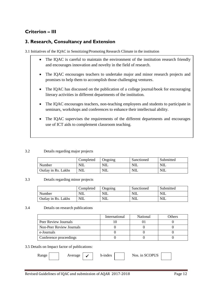# **Criterion – III**

## **3. Research, Consultancy and Extension**

3.1 Initiatives of the IQAC in Sensitizing/Promoting Research Climate in the institution

- The IQAC is careful to maintain the environment of the institution research friendly and encourages innovation and novelty in the field of research.
- The IQAC encourages teachers to undertake major and minor research projects and promises to help them to accomplish those challenging ventures.
- The IQAC has discussed on the publication of a college journal/book for encouraging literary activities in different departments of the institution.
- The IQAC encourages teachers, non-teaching employees and students to participate in seminars, workshops and conferences to enhance their intellectual ability.
- The IQAC supervises the requirements of the different departments and encourages use of ICT aids to complement classroom teaching.

#### 3.2 Details regarding major projects

|                     | Completed  | Ongoing | Sanctioned | Submitted  |
|---------------------|------------|---------|------------|------------|
| Number              | NIL        | NIL     | <b>NIL</b> | <b>NIL</b> |
| Outlay in Rs. Lakhs | <b>NIL</b> | NIL     | NIL        | <b>NIL</b> |

#### 3.3 Details regarding minor projects

|                     | Completed  | Ongoing    | Sanctioned | Submitted |
|---------------------|------------|------------|------------|-----------|
| Number              | NIL        | <b>NIL</b> | <b>NIL</b> | NIL       |
| Outlay in Rs. Lakhs | <b>NIL</b> | <b>NIL</b> | NΙL        | NIL       |

#### 3.4 Details on research publications

|                          | International | National | Others |
|--------------------------|---------------|----------|--------|
| Peer Review Journals     |               |          |        |
| Non-Peer Review Journals |               |          |        |
| e-Journals               |               |          |        |
| Conference proceedings   |               |          |        |

#### 3.5 Details on Impact factor of publications:

| kange | verage | -4 | h-index | Nos. in SCOPUS |  |
|-------|--------|----|---------|----------------|--|
|       |        |    |         |                |  |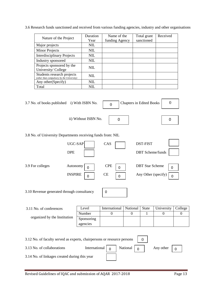3.6 Research funds sanctioned and received from various funding agencies, industry and other organisations

| Nature of the Project                                                   | Duration<br>Year | Name of the<br>funding Agency | Total grant<br>sanctioned | Received |
|-------------------------------------------------------------------------|------------------|-------------------------------|---------------------------|----------|
| Major projects                                                          | <b>NIL</b>       |                               |                           |          |
| <b>Minor Projects</b>                                                   | <b>NIL</b>       |                               |                           |          |
| <b>Interdisciplinary Projects</b>                                       | <b>NIL</b>       |                               |                           |          |
| Industry sponsored                                                      | <b>NIL</b>       |                               |                           |          |
| Projects sponsored by the<br>University/College                         | NIL.             |                               |                           |          |
| Students research projects<br>(other than compulsory by the University) | NIL.             |                               |                           |          |
| Any other (Specify)                                                     | <b>NIL</b>       |                               |                           |          |
| Total                                                                   | NIL              |                               |                           |          |

| 3.7 No. of books published i) With ISBN No.                             |                            |                                  | $\overline{0}$                                    | <b>Chapters in Edited Books</b> |                                               | $\overline{0}$             |                  |
|-------------------------------------------------------------------------|----------------------------|----------------------------------|---------------------------------------------------|---------------------------------|-----------------------------------------------|----------------------------|------------------|
|                                                                         |                            | ii) Without ISBN No.             | $\mathbf 0$                                       |                                 |                                               | $\boldsymbol{0}$           |                  |
| 3.8 No. of University Departments receiving funds from: NIL             |                            |                                  |                                                   |                                 |                                               |                            |                  |
|                                                                         | UGC-SAP<br><b>DPE</b>      |                                  | CAS                                               |                                 | DST-FIST<br><b>DBT</b> Scheme/funds           |                            |                  |
| 3.9 For colleges                                                        | Autonomy<br><b>INSPIRE</b> | 0<br>$\mathbf 0$                 | <b>CPE</b><br>$\overline{0}$<br>CE<br>$\mathbf 0$ |                                 | <b>DBT</b> Star Scheme<br>Any Other (specify) | $\mathbf 0$<br>$\mathbf 0$ |                  |
| 3.10 Revenue generated through consultancy                              |                            |                                  | $\boldsymbol{0}$                                  |                                 |                                               |                            |                  |
| 3.11 No. of conferences                                                 |                            | Level                            | International                                     | National                        | <b>State</b>                                  | University                 | College          |
| organized by the Institution                                            |                            | Number<br>Sponsoring<br>agencies | $\overline{0}$                                    | $\boldsymbol{0}$                | 1                                             | $\boldsymbol{0}$           | $\boldsymbol{0}$ |
| 3.12 No. of faculty served as experts, chairpersons or resource persons |                            |                                  |                                                   |                                 | $\theta$                                      |                            |                  |
| 3.13 No. of collaborations                                              |                            | International                    | $\overline{0}$                                    | National<br>$\mathbf 0$         |                                               | Any other                  | 0                |
| 3.14 No. of linkages created during this year                           |                            |                                  |                                                   |                                 |                                               |                            |                  |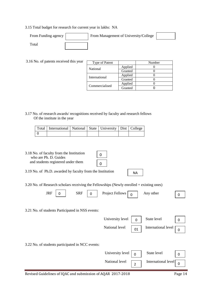#### 3.15 Total budget for research for current year in lakhs: NA

| From Funding agency   | From Management of University/College |  |
|-----------------------|---------------------------------------|--|
| $_{\rm \sigma}$ Total |                                       |  |

3.16 No. of patents received this year

| Type of Patent |         | Number |
|----------------|---------|--------|
| National       | Applied |        |
|                | Granted |        |
| International  | Applied |        |
|                | Granted |        |
|                | Applied |        |
| Commercialised | Granted |        |

3.17 No. of research awards/ recognitions received by faculty and research fellows Of the institute in the year

| Total   International   National   State   University   Dist   College |  |  |  |
|------------------------------------------------------------------------|--|--|--|
|                                                                        |  |  |  |

3.18 No. of faculty from the Institution who are Ph. D. Guides and students registered under them

3.19 No. of Ph.D. awarded by faculty from the Institution

3.20 No. of Research scholars receiving the Fellowships (Newly enrolled + existing ones)

| <b>JKI</b><br>$\overline{\phantom{a}}$ | <b>SRF</b><br>∼ | $\overline{\phantom{a}}$<br>Project<br>دا من ا<br><b><i>OWS</i></b> | other<br>Anv<br>$- - - -$ |  |
|----------------------------------------|-----------------|---------------------------------------------------------------------|---------------------------|--|
|                                        |                 |                                                                     |                           |  |

3.21 No. of students Participated in NSS events:



NA

3.22 No. of students participated in NCC events:

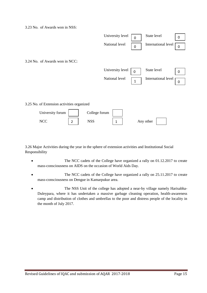3.23 No. of Awards won in NSS:



3.26 Major Activities during the year in the sphere of extension activities and Institutional Social Responsibility

- The NCC cadets of the College have organized a rally on 01.12.2017 to create mass-consciousness on AIDS on the occasion of World Aids Day.
- The NCC cadets of the College have organized a rally on 25.11.2017 to create mass-consciousness on Dengue in Kamarpukur area.
- The NSS Unit of the college has adopted a near-by village namely Harisabha-Duleypara, where it has undertaken a massive garbage cleaning operation, health-awareness camp and distribution of clothes and umbrellas to the poor and distress people of the locality in the month of July 2017.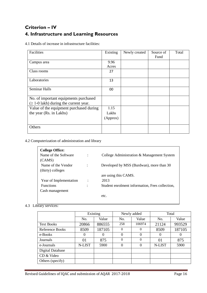# **Criterion – IV 4. Infrastructure and Learning Resources**

4.1 Details of increase in infrastructure facilities:

| Facilities                                                                           | Existing      | Newly created | Source of<br>Fund | Total |
|--------------------------------------------------------------------------------------|---------------|---------------|-------------------|-------|
| Campus area                                                                          | 9.96<br>Acres |               |                   |       |
| Class rooms                                                                          | 27            |               |                   |       |
| Laboratories                                                                         | 13            |               |                   |       |
| Seminar Halls                                                                        | 00            |               |                   |       |
| No. of important equipments purchased<br>$(\geq 1$ -0 lakh) during the current year. |               |               |                   |       |
| Value of the equipment purchased during                                              | 1.15          |               |                   |       |
| the year (Rs. in Lakhs)                                                              | Lakhs         |               |                   |       |
|                                                                                      | (Approx)      |               |                   |       |
| Others                                                                               |               |               |                   |       |

4.2 Computerization of administration and library

| <b>College Office:</b> |                |                                                 |
|------------------------|----------------|-------------------------------------------------|
| Name of the Software   | $\ddot{\cdot}$ | College Administration & Management System      |
| (CAMS)                 |                |                                                 |
| Name of the Vendor     | ٠              | Developed by MSS (Burdwan), more than 30        |
| (thirty) colleges      |                |                                                 |
|                        |                | are using this CAMS.                            |
| Year of Implementation | $\ddot{\cdot}$ | 2013                                            |
| <b>Functions</b>       | ٠              | Student enrolment information, Fees collection, |
| Cash management        |                |                                                 |
|                        |                | etc.                                            |
|                        |                |                                                 |

#### 4.3 Library services:

|                   |          | Existing |     | Newly added | Total    |        |  |
|-------------------|----------|----------|-----|-------------|----------|--------|--|
|                   | No.      | Value    | No. | Value       | No.      | Value  |  |
| <b>Text Books</b> | 20866    | 886555   | 258 | 106974      | 21124    | 993529 |  |
| Reference Books   | 8509     | 187105   | 0   | 0           | 8509     | 187105 |  |
| e-Books           | $\Omega$ | $\theta$ | 0   | 0           | $\Omega$ |        |  |
| Journals          | 01       | 875      | 0   | $\theta$    | 01       | 875    |  |
| e-Journals        | N-LIST   | 5900     | 0   | $\Omega$    | N-LIST   | 5900   |  |
| Digital Database  |          |          |     |             |          |        |  |
| CD & Video        |          |          |     |             |          |        |  |
| Others (specify)  |          |          |     |             |          |        |  |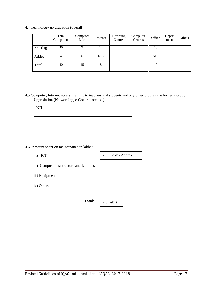4.4 Technology up gradation (overall)

|          | Total<br>Computers | Computer<br>Labs | Internet   | <b>Browsing</b><br>Centres | Computer<br>Centres | Office     | Depart-<br>ments | Others |
|----------|--------------------|------------------|------------|----------------------------|---------------------|------------|------------------|--------|
| Existing | 36                 |                  | 14         |                            |                     | 10         |                  |        |
| Added    | 4                  | h                | <b>NIL</b> |                            |                     | <b>NIL</b> |                  |        |
| Total    | 40                 | 15               | 8          |                            |                     | 10         |                  |        |

4.5 Computer, Internet access, training to teachers and students and any other programme for technology Upgradation (Networking, e-Governance etc.)

4.6 Amount spent on maintenance in lakhs :

- i) ICT
- ii) Campus Infrastructure and facilities
- iii) Equipments
- iv) Others

**Total:** 

2.8 Lakhs

2.80 Lakhs Approx

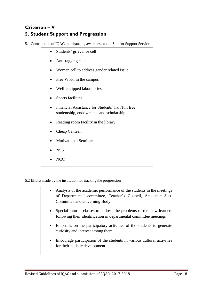# **Criterion – V 5. Student Support and Progression**

5.1 Contribution of IQAC in enhancing awareness about Student Support Services

- Students' grievance cell Anti-ragging cell • Women cell to address gender related issue • Free Wi-Fi in the campus Well-equipped laboratories • Sports facilities Financial Assistance for Students' half/full free studentship, endowments and scholarship • Reading room facility in the library Cheap Canteen Motivational Seminar NSS
	- N<sub>C</sub>C

5.2 Efforts made by the institution for tracking the progression

- Analysis of the academic performance of the students in the meetings of Departmental committee, Teacher's Council, Academic Sub-Committee and Governing Body
- Special tutorial classes to address the problems of the slow learners following their identification in departmental committee meetings
- Emphasis on the participatory activities of the students to generate curiosity and interest among them
- Encourage participation of the students in various cultural activities for their holistic development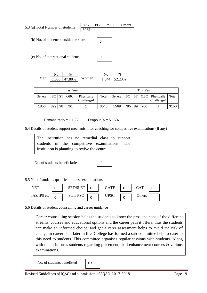5.3 (a) Total Number of students (b) No. of students outside the state (c) No. of international students UG PG Ph. D. Others 3062  $\Omega$  $\Omega$ 

Men 1.506 47.80% Women  $\overline{N_0}$  % 47.80%

| 2.ZU% |
|-------|

| Last Year |            |    |            | This Year                |       |            |     |    |     |                                              |       |
|-----------|------------|----|------------|--------------------------|-------|------------|-----|----|-----|----------------------------------------------|-------|
| General   | $SC \vert$ | ST | <b>OBC</b> | Physically<br>Challenged | Total | General SC |     |    |     | $ST   OBC  $ Physically<br><b>Challenged</b> | Total |
| 1856      | 829        | 98 | 761        |                          | 3545  | 1569       | 785 | 89 | 706 |                                              | 3150  |

Demand ratio =  $1:1.27$  Dropout % =  $5.16%$ 

5.4 Details of student support mechanism for coaching for competitive examinations (If any)

The institution has no remedial class to support students in the competitive examinations. The institution is planning to revive the centre.

No. of students beneficiaries

0

## 5.5 No. of students qualified in these examinations



5.6 Details of student counselling and career guidance

Career counselling session helps the students to know the pros and cons of the different streams, courses and educational options and the career path it offers, thus the students can make an informed choice, and get a carer assessment helps to avoid the risk of change in career path later in life. College has formed a sub-committee help to cater to this need to students. This committee organises regular sessions with students. Along with this it informs students regarding placement, skill enhancement courses & various examinations.

No. of students benefitted

03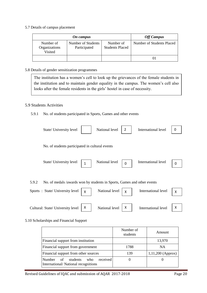5.7 Details of campus placement

|                                       | <b>Off Campus</b>                  |                                     |                           |
|---------------------------------------|------------------------------------|-------------------------------------|---------------------------|
| Number of<br>Organizations<br>Visited | Number of Students<br>Participated | Number of<br><b>Students Placed</b> | Number of Students Placed |
|                                       |                                    |                                     | $\cup$                    |

#### 5.8 Details of gender sensitization programmes

The institution has a women's cell to look up the grievances of the female students in the institution and to maintain gender equality in the campus. The women's cell also looks after the female residents in the girls' hostel in case of necessity.

## 5.9 Students Activities

#### 5.9.1 No. of students participated in Sports, Games and other events

| State/ University level                                                                                            |   | National level | 2        | International level | 0 |
|--------------------------------------------------------------------------------------------------------------------|---|----------------|----------|---------------------|---|
| No. of students participated in cultural events                                                                    |   |                |          |                     |   |
| State/ University level                                                                                            | 1 | National level | $\Omega$ | International level | 0 |
| No. of medals /awards won by students in Sports, Games and other events<br>5.9.2<br>Sports: State/University level | Χ | National level | X        | International level | X |
| Cultural: State/ University level                                                                                  | Χ | National level | Χ        | International level | Χ |

#### 5.10 Scholarships and Financial Support

|                                                                                           | Number of<br>students | Amount              |
|-------------------------------------------------------------------------------------------|-----------------------|---------------------|
| Financial support from institution                                                        |                       | 13,970              |
| Financial support from government                                                         | 1788                  | NA                  |
| Financial support from other sources                                                      | 139                   | $1,11,200$ (Approx) |
| received<br><b>Number</b><br>students<br>of<br>who<br>International/National recognitions |                       |                     |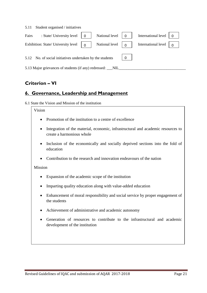| Student organised / initiatives<br>5.11                               |                                                                    |  |                     |  |
|-----------------------------------------------------------------------|--------------------------------------------------------------------|--|---------------------|--|
| : State/ University level<br>Fairs                                    | National level<br>$\Omega$                                         |  | International level |  |
| Exhibition: State/ University level                                   | National level $\begin{bmatrix} 0 \end{bmatrix}$<br>$\overline{0}$ |  | International level |  |
| 5.12 No. of social initiatives undertaken by the students<br>$\Omega$ |                                                                    |  |                     |  |
| 5.13 Major grievances of students (if any) redressed: __NIL_          |                                                                    |  |                     |  |

# **Criterion – VI**

# **6. Governance, Leadership and Management**

6.1 State the Vision and Mission of the institution

## Vision

- Promotion of the institution to a centre of excellence
- Integration of the material, economic, infrastructural and academic resources to create a harmonious whole
- Inclusion of the economically and socially deprived sections into the fold of education
- Contribution to the research and innovation endeavours of the nation

## Mission

- Expansion of the academic scope of the institution
- Imparting quality education along with value-added education
- Enhancement of moral responsibility and social service by proper engagement of the students
- Achievement of administrative and academic autonomy
- Generation of resources to contribute to the infrastructural and academic development of the institution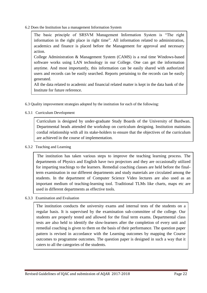6.2 Does the Institution has a management Information System

The basic principle of SRSVM Management Information System is "The right information in the right place in right time". All information related to administration, academics and finance is placed before the Management for approval and necessary action.

College Administration & Management System (CAMS) is a real time Windows-based software works using LAN technology in our College. One can get the information anytime. And most importantly, this information can be easily shared with authorized users and records can be easily searched. Reports pertaining to the records can be easily generated.

All the data related to academic and financial related matter is kept in the data bank of the Institute for future reference.

6.3 Quality improvement strategies adopted by the institution for each of the following:

6.3.1 Curriculum Development

Curriculum is designed by under-graduate Study Boards of the University of Burdwan. Departmental heads attended the workshop on curriculum designing. Institution maintains cordial relationship with all its stake-holders to ensure that the objectives of the curriculum are achieved in the course of implementation.

#### 6.3.2 Teaching and Learning

The institution has taken various steps to improve the teaching learning process. The departments of Physics and English have two projectors and they are occasionally utilized for imparting teachings to the learners. Remedial coaching classes are held before the finalterm examination in our different departments and study materials are circulated among the students. In the department of Computer Science Video lectures are also used as an important medium of teaching-learning tool. Traditional TLMs like charts, maps etc are used in different departments as effective tools.

#### 6.3.3 Examination and Evaluation

The institution conducts the university exams and internal tests of the students on a regular basis. It is supervised by the examination sub-committee of the college. Our students are properly tested and allowed for the final term exams. Departmental class tests are also held to identify the slow-learners after the completion of every unit and remedial coaching is given to them on the basis of their performance. The question paper pattern is revised in accordance with the Learning outcomes by mapping the Course outcomes to programme outcomes. The question paper is designed in such a way that it caters to all the categories of the students.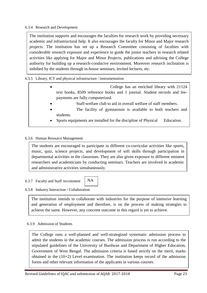#### 6.3.4 Research and Development

The institution supports and encourages the faculties for research work by providing necessary academic and infrastructural help. It also encourages the faculty for Minor and Major research projects. The institution has set up a Research Committee consisting of faculties with considerable research exposure and experience to guide the junior teachers in research related activities like applying for Major and Minor Projects, publications and advising the College authority for building up a research-conducive environment. Moreover research inclination is imbibed by the students through in-house seminars, invited lectures, etc.

6.3.5 Library, ICT and physical infrastructure / instrumentation

- College has an enriched library with 21124 text books, 8509 reference books and 1 journal. Student records and feepayments are fully computerized.
	- Staff-welfare club to aid in overall welfare of staff members.
	- The facility of gymnasium is available to both teachers and students.
	- Sports equipments are installed for the discipline of Physical Education.

#### 6.3.6 Human Resource Management

The students are encouraged to participate in different co-curricular activities like sports, music, quiz, science projects, and development of soft skills through participation in departmental activities in the classroom. They are also given exposure to different eminent researchers and academicians by conducting seminars. Teachers are involved in academic and administrative activities simultaneously.

NA

#### 6.3.7 Faculty and Staff recruitment

#### 6.3.8 Industry Interaction / Collaboration

The institution intends to collaborate with industries for the purpose of intensive learning and generation of employment and therefore, is on the process of making strategies to achieve the same. However, any concrete outcome in this regard is yet to achieve.

#### 6.3.9 Admission of Students

The College runs a well-planned and well-strategized systematic admission process to admit the students in the academic courses. The admission process is run according to the stipulated guidelines of the University of Burdwan and Department of Higher Education, Government of West Bengal. The admission criteria is based strictly on the merit, marks obtained in the (10+2) Level examination. The institution keeps record of the admission forms and other relevant information of the applicants in various courses.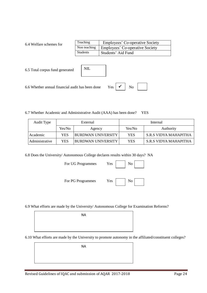6.4 Welfare schemes for

| Teaching     | <b>Employees' Co-operative Society</b> |
|--------------|----------------------------------------|
| Non teaching | <b>Employees' Co-operative Society</b> |
| Students     | Students' Aid Fund                     |

| 6.5 Total corpus fund generated                                                          | <b>NIL</b> |  |
|------------------------------------------------------------------------------------------|------------|--|
| 6.6 Whether annual financial audit has been done Yes $\vert \checkmark \vert$ No $\vert$ |            |  |

6.7 Whether Academic and Administrative Audit (AAA) has been done? YES

| Audit Type     |        | External           | Internal |                         |  |
|----------------|--------|--------------------|----------|-------------------------|--|
|                | Yes/No | Agency             | Yes/No   | Authority               |  |
| Academic       | YES    | BURDWAN UNIVERSITY | YES      | S.R.S VIDYA MAHAPITHA   |  |
| Administrative | YES    | BURDWAN UNIVERSITY | YES      | - S.R.S VIDYA MAHAPITHA |  |

6.8 Does the University/ Autonomous College declares results within 30 days? NA

For UG Programmes Yes

For PG Programmes Yes

| ., | Ńо<br>- |  |
|----|---------|--|
|    |         |  |

6.9 What efforts are made by the University/ Autonomous College for Examination Reforms?

NA

6.10 What efforts are made by the University to promote autonomy in the affiliated/constituent colleges?

NA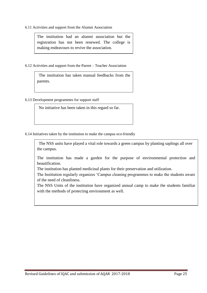6.11 Activities and support from the Alumni Association

The institution had an alumni association but the registration has not been renewed. The college is making endeavours to revive the association.

6.12 Activities and support from the Parent – Teacher Association

 The institution has taken manual feedbacks from the parents.

6.13 Development programmes for support staff

No initiative has been taken in this regard so far.

6.14 Initiatives taken by the institution to make the campus eco-friendly

 The NSS units have played a vital role towards a green campus by planting saplings all over the campus.

The institution has made a garden for the purpose of environmental protection and beautification.

The institution has planted medicinal plants for their preservation and utilization.

The Institution regularly organizes 'Campus cleaning programmes to make the students aware of the need of cleanliness.

The NSS Units of the institution have organized annual camp to make the students familiar with the methods of protecting environment as well.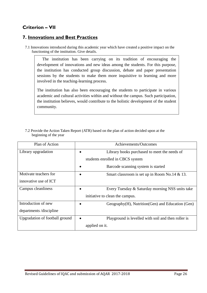# **Criterion – VII**

## **7. Innovations and Best Practices**

7.1 Innovations introduced during this academic year which have created a positive impact on the functioning of the institution. Give details.

 The institution has been carrying on its tradition of encouraging the development of innovations and new ideas among the students. For this purpose, the institution has conducted group discussion, debate and paper presentation sessions by the students to make them more inquisitive to learning and more involved in the teaching-learning process.

The institution has also been encouraging the students to participate in various academic and cultural activities within and without the campus. Such participation, the institution believes, would contribute to the holistic development of the student community.

7.2 Provide the Action Taken Report (ATR) based on the plan of action decided upon at the beginning of the year

| Plan of Action                 | Achievements/Outcomes                               |
|--------------------------------|-----------------------------------------------------|
| Library upgradation            | Library books purchased to meet the needs of        |
|                                | students enrolled in CBCS system                    |
|                                | Barcode scanning system is started                  |
| Motivate teachers for          | Smart classroom is set up in Room No.14 & 13.       |
| innovative use of ICT          |                                                     |
| Campus cleanliness             | Every Tuesday & Saturday morning NSS units take     |
|                                | initiative to clean the campus.                     |
| Introduction of new            | Geography(H), Nutrition(Gen) and Education (Gen)    |
| departments/discipline         |                                                     |
| Upgradation of football ground | Playground is levelled with soil and then roller is |
|                                | applied on it.                                      |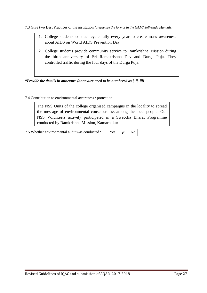7.3 Give two Best Practices of the institution *(please see the format in the NAAC Self-study Manuals)*

- 1. College students conduct cycle rally every year to create mass awareness about AIDS on World AIDS Prevention Day
- 2. College students provide community service to Ramkrishna Mission during the birth anniversary of Sri Ramakrishna Dev and Durga Puja. They controlled traffic during the four days of the Durga Puja.

*\*Provide the details in annexure (annexure need to be numbered as i, ii, iii)*

## 7.4 Contribution to environmental awareness / protection

The NSS Units of the college organised campaigns in the locality to spread the message of environmental consciousness among the local people. Our NSS Volunteers actively participated in a Swaccha Bharat Programme conducted by Ramkrishna Mission, Kamarpukur.

 $7.5$  Whether environmental audit was conducted? Yes

|--|--|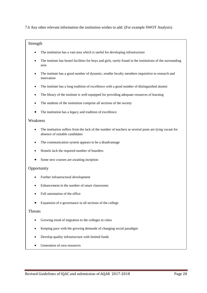7.6 Any other relevant information the institution wishes to add. (For example SWOT Analysis)

#### Strength

- The institution has a vast area which is useful for developing infrastructure
- The institute has hostel facilities for boys and girls, rarely found in the institutions of the surrounding area
- The institute has a good number of dynamic, erudite faculty members inquisitive to research and innovation
- The institute has a long tradition of excellence with a good number of distinguished alumni
- The library of the institute is well-equipped for providing adequate resources of learning
- The students of the institution comprise all sections of the society
- The institution has a legacy and tradition of excellence

#### Weakness

- The institution suffers from the lack of the number of teachers as several posts are lying vacant for absence of suitable candidates
- The communication system appears to be a disadvantage
- Hostels lack the required number of boarders
- Some new courses are awaiting inception

#### Opportunity

- Further infrastructural development
- Enhancement in the number of smart classrooms
- Full automation of the office
- Expansion of e-governance in all sections of the college

#### Threats

- Growing trend of migration to the colleges in cities
- Keeping pace with the growing demands of changing social paradigm
- Develop quality infrastructure with limited funds
- Generation of own resources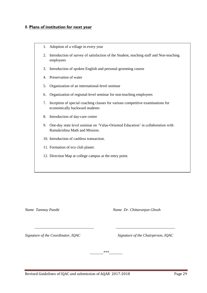## 8. **Plans of institution for next year**

- 1. Adoption of a village in every year
- 2. Introduction of survey of satisfaction of the Student, teaching staff and Non-teaching employees
- 3. Introduction of spoken English and personal grooming course
- 4. Preservation of water
- 5. Organization of an international-level seminar
- 6. Organization of regional-level seminar for non-teaching employees
- 7. Inception of special coaching classes for various competitive examinations for economically backward students
- 8. Introduction of day-care centre
- 9. One-day state level seminar on 'Value-Oriented Education' in collaboration with Ramakrishna Math and Mission.

 *\_\_\_\_\_\_\_\_\_\_\_\_\_\_\_\_\_\_\_\_\_\_\_\_\_\_\_\_\_\_\_ \_\_\_\_\_\_\_\_\_\_\_\_\_\_\_\_\_\_\_\_\_\_\_\_\_\_\_\_\_\_\_* 

*\_\_\_\_\_\_\_\*\*\*\_\_\_\_\_\_\_*

- 10. Introduction of cashless transaction.
- 11. Formation of eco club planet.
- 12. Direction Map at college campus at the entry point.

*Name Tanmoy Pandit Name Dr. Chittaranjan Ghosh*

*Signature of the Coordinator, IQAC Signature of the Chairperson, IQAC*

Revised Guidelines of IQAC and submission of AQAR 2017-2018 Page 29